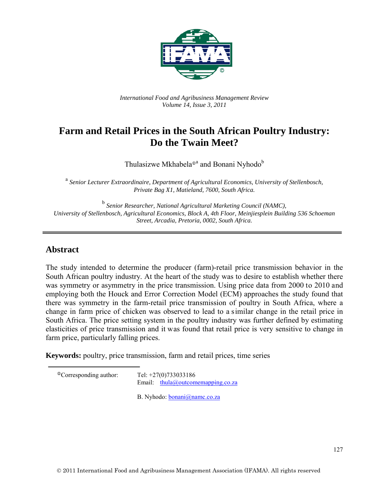

*International Food and Agribusiness Management Review Volume 14, Issue 3, 2011*

# **Farm and Retail Prices in the South African Poultry Industry: Do the Twain Meet?**

Thulasizwe Mkhabela<sup>®a</sup> and Bonani Nyhodo<sup>b</sup>

 a *Senior Lecturer Extraordinaire, Department of Agricultural Economics, University of Stellenbosch, Private Bag X1, Matieland, 7600, South Africa.* 

<sup>b</sup> *Senior Researcher, National Agricultural Marketing Council (NAMC), University of Stellenbosch, Agricultural Economics, Block A, 4th Floor, Meinjiesplein Building 536 Schoeman Street, Arcadia, Pretoria, 0002, South Africa.*

### **Abstract**

The study intended to determine the producer (farm)-retail price transmission behavior in the South African poultry industry. At the heart of the study was to desire to establish whether there was symmetry or asymmetry in the price transmission. Using price data from 2000 to 2010 and employing both the Houck and Error Correction Model (ECM) approaches the study found that there was symmetry in the farm-retail price transmission of poultry in South Africa, where a change in farm price of chicken was observed to lead to a similar change in the retail price in South Africa. The price setting system in the poultry industry was further defined by estimating elasticities of price transmission and it was found that retail price is very sensitive to change in farm price, particularly falling prices.

**Keywords:** poultry, price transmission, farm and retail prices, time series

<span id="page-0-0"></span>

| Tel: $+27(0)733033186$                                                    |  |  |
|---------------------------------------------------------------------------|--|--|
| Email: $\frac{\text{thula}(a) \text{outcomemapping.co.za}}{\text{total}}$ |  |  |
|                                                                           |  |  |

B. Nyhodo: [bonani@namc.co.za](mailto:bonani@namc.co.za)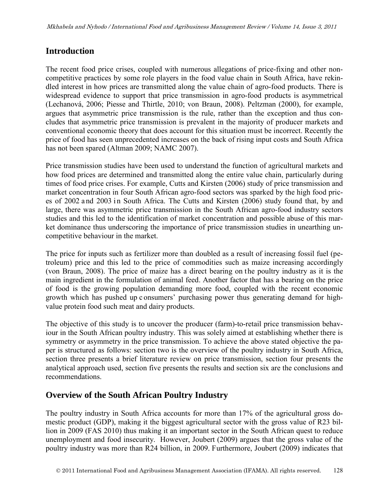### **Introduction**

The recent food price crises, coupled with numerous allegations of price-fixing and other noncompetitive practices by some role players in the food value chain in South Africa, have rekindled interest in how prices are transmitted along the value chain of agro-food products. There is widespread evidence to support that price transmission in agro-food products is asymmetrical (Lechanová, 2006; Piesse and Thirtle, 2010; von Braun, 2008). Peltzman (2000), for example, argues that asymmetric price transmission is the rule, rather than the exception and thus concludes that asymmetric price transmission is prevalent in the majority of producer markets and conventional economic theory that does account for this situation must be incorrect. Recently the price of food has seen unprecedented increases on the back of rising input costs and South Africa has not been spared (Altman 2009; NAMC 2007).

Price transmission studies have been used to understand the function of agricultural markets and how food prices are determined and transmitted along the entire value chain, particularly during times of food price crises. For example, Cutts and Kirsten (2006) study of price transmission and market concentration in four South African agro-food sectors was sparked by the high food prices of 2002 and 2003 in South Africa. The Cutts and Kirsten (2006) study found that, by and large, there was asymmetric price transmission in the South African agro-food industry sectors studies and this led to the identification of market concentration and possible abuse of this market dominance thus underscoring the importance of price transmission studies in unearthing uncompetitive behaviour in the market.

The price for inputs such as fertilizer more than doubled as a result of increasing fossil fuel (petroleum) price and this led to the price of commodities such as maize increasing accordingly (von Braun, 2008). The price of maize has a direct bearing on the poultry industry as it is the main ingredient in the formulation of animal feed. Another factor that has a bearing on the price of food is the growing population demanding more food, coupled with the recent economic growth which has pushed up c onsumers' purchasing power thus generating demand for highvalue protein food such meat and dairy products.

The objective of this study is to uncover the producer (farm)-to-retail price transmission behaviour in the South African poultry industry. This was solely aimed at establishing whether there is symmetry or asymmetry in the price transmission. To achieve the above stated objective the paper is structured as follows: section two is the overview of the poultry industry in South Africa, section three presents a brief literature review on price transmission, section four presents the analytical approach used, section five presents the results and section six are the conclusions and recommendations.

### **Overview of the South African Poultry Industry**

The poultry industry in South Africa accounts for more than 17% of the agricultural gross domestic product (GDP), making it the biggest agricultural sector with the gross value of R23 billion in 2009 (FAS 2010) thus making it an important sector in the South African quest to reduce unemployment and food insecurity. However, Joubert (2009) argues that the gross value of the poultry industry was more than R24 billion, in 2009. Furthermore, Joubert (2009) indicates that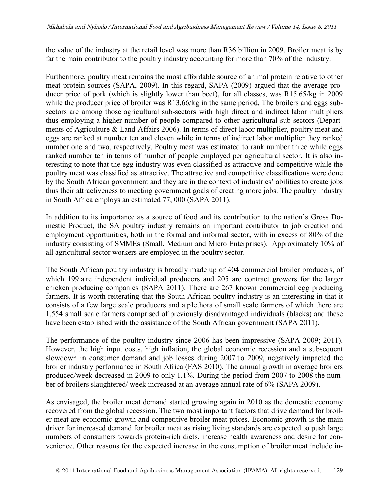the value of the industry at the retail level was more than R36 billion in 2009. Broiler meat is by far the main contributor to the poultry industry accounting for more than 70% of the industry.

Furthermore, poultry meat remains the most affordable source of animal protein relative to other meat protein sources (SAPA, 2009). In this regard, SAPA (2009) argued that the average producer price of pork (which is slightly lower than beef), for all classes, was R15.65/kg in 2009 while the producer price of broiler was R13.66/kg in the same period. The broilers and eggs subsectors are among those agricultural sub-sectors with high direct and indirect labor multipliers thus employing a higher number of people compared to other agricultural sub-sectors (Departments of Agriculture & Land Affairs 2006). In terms of direct labor multiplier, poultry meat and eggs are ranked at number ten and eleven while in terms of indirect labor multiplier they ranked number one and two, respectively. Poultry meat was estimated to rank number three while eggs ranked number ten in terms of number of people employed per agricultural sector. It is also interesting to note that the egg industry was even classified as attractive and competitive while the poultry meat was classified as attractive. The attractive and competitive classifications were done by the South African government and they are in the context of industries' abilities to create jobs thus their attractiveness to meeting government goals of creating more jobs. The poultry industry in South Africa employs an estimated 77, 000 (SAPA 2011).

In addition to its importance as a source of food and its contribution to the nation's Gross Domestic Product, the SA poultry industry remains an important contributor to job creation and employment opportunities, both in the formal and informal sector, with in excess of 80% of the industry consisting of SMMEs (Small, Medium and Micro Enterprises). Approximately 10% of all agricultural sector workers are employed in the poultry sector.

The South African poultry industry is broadly made up of 404 commercial broiler producers, of which 199 a re independent individual producers and 205 are contract growers for the larger chicken producing companies (SAPA 2011). There are 267 known commercial egg producing farmers. It is worth reiterating that the South African poultry industry is an interesting in that it consists of a few large scale producers and a plethora of small scale farmers of which there are 1,554 small scale farmers comprised of previously disadvantaged individuals (blacks) and these have been established with the assistance of the South African government (SAPA 2011).

The performance of the poultry industry since 2006 has been impressive (SAPA 2009; 2011). However, the high input costs, high inflation, the global economic recession and a subsequent slowdown in consumer demand and job losses during 2007 to 2009, negatively impacted the broiler industry performance in South Africa (FAS 2010). The annual growth in average broilers produced/week decreased in 2009 to only 1.1%. During the period from 2007 to 2008 the number of broilers slaughtered/ week increased at an average annual rate of 6% (SAPA 2009).

As envisaged, the broiler meat demand started growing again in 2010 as the domestic economy recovered from the global recession. The two most important factors that drive demand for broiler meat are economic growth and competitive broiler meat prices. Economic growth is the main driver for increased demand for broiler meat as rising living standards are expected to push large numbers of consumers towards protein-rich diets, increase health awareness and desire for convenience. Other reasons for the expected increase in the consumption of broiler meat include in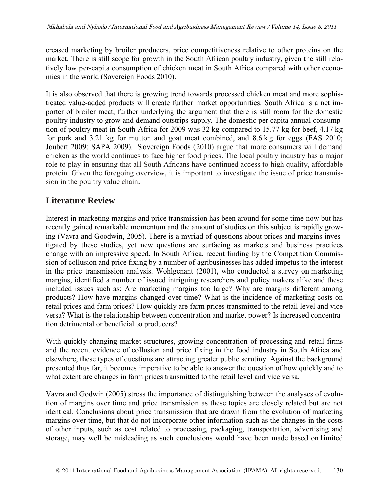creased marketing by broiler producers, price competitiveness relative to other proteins on the market. There is still scope for growth in the South African poultry industry, given the still relatively low per-capita consumption of chicken meat in South Africa compared with other economies in the world (Sovereign Foods 2010).

It is also observed that there is growing trend towards processed chicken meat and more sophisticated value-added products will create further market opportunities. South Africa is a net importer of broiler meat, further underlying the argument that there is still room for the domestic poultry industry to grow and demand outstrips supply. The domestic per capita annual consumption of poultry meat in South Africa for 2009 was 32 kg compared to 15.77 kg for beef, 4.17 kg for pork and 3.21 kg for mutton and goat meat combined, and 8.6 k g for eggs (FAS 2010; Joubert 2009; SAPA 2009). Sovereign Foods (2010) argue that more consumers will demand chicken as the world continues to face higher food prices. The local poultry industry has a major role to play in ensuring that all South Africans have continued access to high quality, affordable protein. Given the foregoing overview, it is important to investigate the issue of price transmission in the poultry value chain.

### **Literature Review**

Interest in marketing margins and price transmission has been around for some time now but has recently gained remarkable momentum and the amount of studies on this subject is rapidly growing (Vavra and Goodwin, 2005). There is a myriad of questions about prices and margins investigated by these studies, yet new questions are surfacing as markets and business practices change with an impressive speed. In South Africa, recent finding by the Competition Commission of collusion and price fixing by a number of agribusinesses has added impetus to the interest in the price transmission analysis. Wohlgenant (2001), who conducted a survey on m arketing margins, identified a number of issued intriguing researchers and policy makers alike and these included issues such as: Are marketing margins too large? Why are margins different among products? How have margins changed over time? What is the incidence of marketing costs on retail prices and farm prices? How quickly are farm prices transmitted to the retail level and vice versa? What is the relationship between concentration and market power? Is increased concentration detrimental or beneficial to producers?

With quickly changing market structures, growing concentration of processing and retail firms and the recent evidence of collusion and price fixing in the food industry in South Africa and elsewhere, these types of questions are attracting greater public scrutiny. Against the background presented thus far, it becomes imperative to be able to answer the question of how quickly and to what extent are changes in farm prices transmitted to the retail level and vice versa.

Vavra and Godwin (2005) stress the importance of distinguishing between the analyses of evolution of margins over time and price transmission as these topics are closely related but are not identical. Conclusions about price transmission that are drawn from the evolution of marketing margins over time, but that do not incorporate other information such as the changes in the costs of other inputs, such as cost related to processing, packaging, transportation, advertising and storage, may well be misleading as such conclusions would have been made based on limited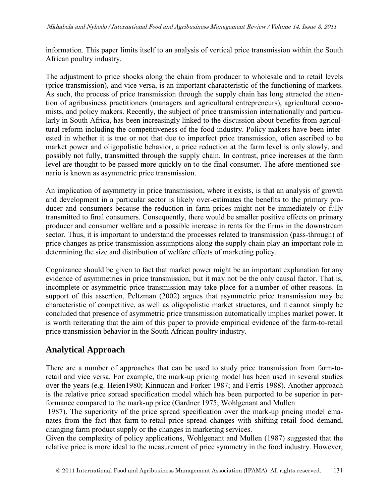information. This paper limits itself to an analysis of vertical price transmission within the South African poultry industry.

The adjustment to price shocks along the chain from producer to wholesale and to retail levels (price transmission), and vice versa, is an important characteristic of the functioning of markets. As such, the process of price transmission through the supply chain has long attracted the attention of agribusiness practitioners (managers and agricultural entrepreneurs), agricultural economists, and policy makers. Recently, the subject of price transmission internationally and particularly in South Africa, has been increasingly linked to the discussion about benefits from agricultural reform including the competitiveness of the food industry. Policy makers have been interested in whether it is true or not that due to imperfect price transmission, often ascribed to be market power and oligopolistic behavior, a price reduction at the farm level is only slowly, and possibly not fully, transmitted through the supply chain. In contrast, price increases at the farm level are thought to be passed more quickly on to the final consumer. The afore-mentioned scenario is known as asymmetric price transmission.

An implication of asymmetry in price transmission, where it exists, is that an analysis of growth and development in a particular sector is likely over-estimates the benefits to the primary producer and consumers because the reduction in farm prices might not be immediately or fully transmitted to final consumers. Consequently, there would be smaller positive effects on primary producer and consumer welfare and a possible increase in rents for the firms in the downstream sector. Thus, it is important to understand the processes related to transmission (pass-through) of price changes as price transmission assumptions along the supply chain play an important role in determining the size and distribution of welfare effects of marketing policy.

Cognizance should be given to fact that market power might be an important explanation for any evidence of asymmetries in price transmission, but it may not be the only causal factor. That is, incomplete or asymmetric price transmission may take place for a number of other reasons. In support of this assertion, Peltzman (2002) argues that asymmetric price transmission may be characteristic of competitive, as well as oligopolistic market structures, and it cannot simply be concluded that presence of asymmetric price transmission automatically implies market power. It is worth reiterating that the aim of this paper to provide empirical evidence of the farm-to-retail price transmission behavior in the South African poultry industry.

## **Analytical Approach**

There are a number of approaches that can be used to study price transmission from farm-toretail and vice versa. For example, the mark-up pricing model has been used in several studies over the years (e.g. Heien1980; Kinnucan and Forker 1987; and Ferris 1988). Another approach is the relative price spread specification model which has been purported to be superior in performance compared to the mark-up price (Gardner 1975; Wohlgenant and Mullen

1987). The superiority of the price spread specification over the mark-up pricing model emanates from the fact that farm-to-retail price spread changes with shifting retail food demand, changing farm product supply or the changes in marketing services.

Given the complexity of policy applications, Wohlgenant and Mullen (1987) suggested that the relative price is more ideal to the measurement of price symmetry in the food industry. However,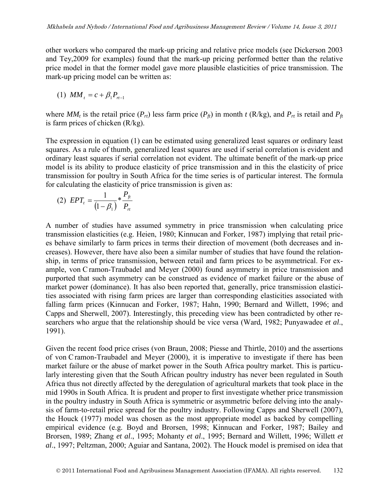other workers who compared the mark-up pricing and relative price models (see Dickerson 2003 and Tey,2009 for examples) found that the mark-up pricing performed better than the relative price model in that the former model gave more plausible elasticities of price transmission. The mark-up pricing model can be written as:

(1) 
$$
MM_{t} = c + \beta_{1} P_{rt-1}
$$

where  $MM_t$  is the retail price  $(P_{rt})$  less farm price  $(P_{ft})$  in month *t* (R/kg), and  $P_{rt}$  is retail and  $P_{ft}$ is farm prices of chicken (R/kg).

The expression in equation (1) can be estimated using generalized least squares or ordinary least squares. As a rule of thumb, generalized least squares are used if serial correlation is evident and ordinary least squares if serial correlation not evident. The ultimate benefit of the mark-up price model is its ability to produce elasticity of price transmission and in this the elasticity of price transmission for poultry in South Africa for the time series is of particular interest. The formula for calculating the elasticity of price transmission is given as:

(2) 
$$
EPT_t = \frac{1}{(1 - \beta_1)} * \frac{P_f}{P_{tt}}
$$

A number of studies have assumed symmetry in price transmission when calculating price transmission elasticities (e.g. Heien, 1980; Kinnucan and Forker, 1987) implying that retail prices behave similarly to farm prices in terms their direction of movement (both decreases and increases). However, there have also been a similar number of studies that have found the relationship, in terms of price transmission, between retail and farm prices to be asymmetrical. For example, von C ramon-Traubadel and Meyer (2000) found asymmetry in price transmission and purported that such asymmetry can be construed as evidence of market failure or the abuse of market power (dominance). It has also been reported that, generally, price transmission elasticities associated with rising farm prices are larger than corresponding elasticities associated with falling farm prices (Kinnucan and Forker, 1987; Hahn, 1990; Bernard and Willett, 1996; and Capps and Sherwell, 2007). Interestingly, this preceding view has been contradicted by other researchers who argue that the relationship should be vice versa (Ward, 1982; Punyawadee *et al*., 1991).

Given the recent food price crises (von Braun, 2008; Piesse and Thirtle, 2010) and the assertions of von C ramon-Traubadel and Meyer (2000), it is imperative to investigate if there has been market failure or the abuse of market power in the South Africa poultry market. This is particularly interesting given that the South African poultry industry has never been regulated in South Africa thus not directly affected by the deregulation of agricultural markets that took place in the mid 1990s in South Africa. It is prudent and proper to first investigate whether price transmission in the poultry industry in South Africa is symmetric or asymmetric before delving into the analysis of farm-to-retail price spread for the poultry industry. Following Capps and Sherwell (2007), the Houck (1977) model was chosen as the most appropriate model as backed by compelling empirical evidence (e.g. Boyd and Brorsen, 1998; Kinnucan and Forker, 1987; Bailey and Brorsen, 1989; Zhang *et al*., 1995; Mohanty *et al*., 1995; Bernard and Willett, 1996; Willett *et al*., 1997; Peltzman, 2000; Aguiar and Santana, 2002). The Houck model is premised on idea that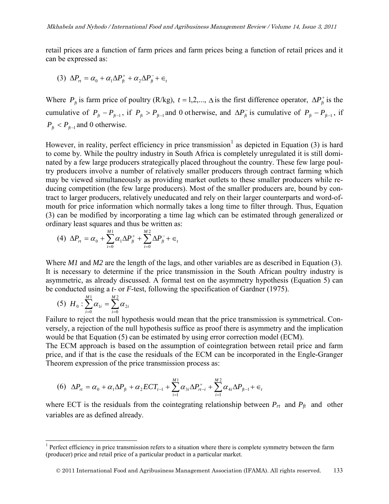retail prices are a function of farm prices and farm prices being a function of retail prices and it can be expressed as:

$$
(3) \ \Delta P_{rt} = \alpha_0 + \alpha_1 \Delta P_{ft}^+ + \alpha_2 \Delta P_{ft}^- + \epsilon_t
$$

Where  $P_f$  is farm price of poultry (R/kg),  $t = 1, 2, \dots, \Delta$  is the first difference operator,  $\Delta P_f^+$  is the cumulative of  $P_{f} - P_{f+1}$ , if  $P_{f} > P_{f+1}$  and 0 otherwise, and  $\Delta P_{f}$  is cumulative of  $P_{f} - P_{f+1}$ , if  $P_{\hat{H}} < P_{\hat{H}-1}$  and 0 otherwise.

However, in reality, perfect efficiency in price transmission<sup>[1](#page-0-0)</sup> as depicted in Equation (3) is hard to come by. While the poultry industry in South Africa is completely unregulated it is still dominated by a few large producers strategically placed throughout the country. These few large poultry producers involve a number of relatively smaller producers through contract farming which may be viewed simultaneously as providing market outlets to these smaller producers while reducing competition (the few large producers). Most of the smaller producers are, bound by contract to larger producers, relatively uneducated and rely on their larger counterparts and word-ofmouth for price information which normally takes a long time to filter through. Thus, Equation (3) can be modified by incorporating a time lag which can be estimated through generalized or ordinary least squares and thus be written as:

$$
(4) \ \Delta P_{rt} = \alpha_0 + \sum_{i=0}^{M1} \alpha_i \Delta P_{ft}^+ + \sum_{i=0}^{M2} \Delta P_{ft}^- + \epsilon_t
$$

Where *M1* and *M2* are the length of the lags, and other variables are as described in Equation (3). It is necessary to determine if the price transmission in the South African poultry industry is asymmetric, as already discussed. A formal test on the asymmetry hypothesis (Equation 5) can be conducted using a *t*- or *F*-test, following the specification of Gardner (1975).

$$
(5) H_0: \sum_{i=0}^{M1} \alpha_{1i} = \sum_{i=0}^{M2} \alpha_{2i}
$$

 $\overline{a}$ 

 Failure to reject the null hypothesis would mean that the price transmission is symmetrical. Conversely, a rejection of the null hypothesis suffice as proof there is asymmetry and the implication would be that Equation (5) can be estimated by using error correction model (ECM).

The ECM approach is based on the assumption of cointegration between retail price and farm price, and if that is the case the residuals of the ECM can be incorporated in the Engle-Granger Theorem expression of the price transmission process as:

$$
(6) \ \Delta P_{rt} = \alpha_0 + \alpha_1 \Delta P_{ft} + \alpha_2 ECT_{t-1} + \sum_{i=1}^{M1} \alpha_{3i} \Delta P_{rt-i}^+ + \sum_{i=1}^{M2} \alpha_{4i} \Delta P_{ft-1} + \epsilon_t
$$

where ECT is the residuals from the cointegrating relationship between  $P_{rt}$  and  $P_{ft}$  and other variables are as defined already.

<span id="page-6-0"></span> $1$  Perfect efficiency in price transmission refers to a situation where there is complete symmetry between the farm (producer) price and retail price of a particular product in a particular market.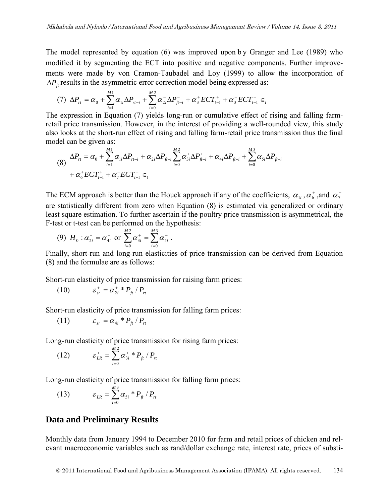The model represented by equation (6) was improved upon by Granger and Lee (1989) who modified it by segmenting the ECT into positive and negative components. Further improvements were made by von Cramon-Taubadel and Loy (1999) to allow the incorporation of  $\Delta P<sub>f</sub>$  results in the asymmetric error correction model being expressed as:

$$
(7) \ \Delta P_{rt} = \alpha_0 + \sum_{i=1}^{M1} \alpha_{1i} \Delta P_{rt-i} + \sum_{i=0}^{M2} \alpha_{2i}^{-} \Delta P_{ft-i}^{+} + \alpha_3^{+} ECT_{t-1}^{+} + \alpha_3^{-} ECT_{t-1}^{-} \in
$$

The expression in Equation (7) yields long-run or cumulative effect of rising and falling farmretail price transmission. However, in the interest of providing a well-rounded view, this study also looks at the short-run effect of rising and falling farm-retail price transmission thus the final model can be given as:

$$
(8) \quad \Delta P_{rt} = \alpha_0 + \sum_{i=1}^{M1} \alpha_{1i} \Delta P_{rt-i} + \alpha_{2i} \Delta P_{ft-i}^+ \sum_{i=0}^{M2} \alpha_{3i}^+ \Delta P_{ft-i}^+ + \alpha_{4i}^- \Delta P_{ft-i}^- + \sum_{i=0}^{M3} \alpha_{5i}^- \Delta P_{ft-i}^- + \alpha_t^+ ECT_{t-1}^+ + \alpha_t^- ECT_{t-1}^- \in_t
$$

The ECM approach is better than the Houck approach if any of the coefficients,  $\alpha_{1i}$ ,  $\alpha_6^+$ , and  $\alpha_7^$ are statistically different from zero when Equation (8) is estimated via generalized or ordinary least square estimation. To further ascertain if the poultry price transmission is asymmetrical, the F-test or t-test can be performed on the hypothesis:

(9) 
$$
H_0: \alpha_{2i}^+ = \alpha_{4i}^-
$$
 or  $\sum_{i=0}^{M2} \alpha_{3i}^+ = \sum_{i=0}^{M3} \alpha_{5i}^-$ .

Finally, short-run and long-run elasticities of price transmission can be derived from Equation (8) and the formulae are as follows:

Short-run elasticity of price transmission for raising farm prices:

(10) 
$$
\varepsilon_{sr}^{+} = \alpha_{2i}^{+} * P_{ft} / P_{rt}
$$

Short-run elasticity of price transmission for falling farm prices:

(11) 
$$
\varepsilon_{sr}^- = \alpha_{4i}^- * P_{ft} / P_{rt}
$$

Long-run elasticity of price transmission for rising farm prices:

(12) 
$$
\varepsilon_{LR}^+ = \sum_{i=0}^{M2} \alpha_{3i}^+ * P_{fi} / P_{rt}
$$

Long-run elasticity of price transmission for falling farm prices:

(13) 
$$
\varepsilon_{LR}^- = \sum_{i=0}^{M3} \alpha_{5i}^- * P_{\hat{H}} / P_{\hat{H}}
$$

#### **Data and Preliminary Results**

Monthly data from January 1994 to December 2010 for farm and retail prices of chicken and relevant macroeconomic variables such as rand/dollar exchange rate, interest rate, prices of substi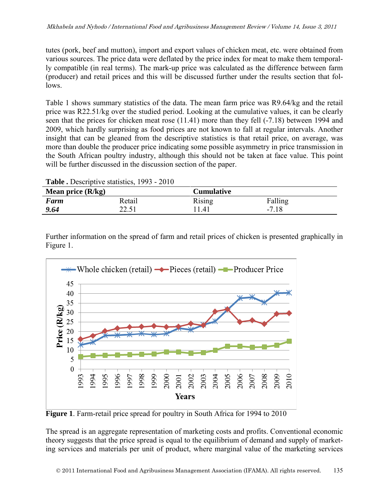tutes (pork, beef and mutton), import and export values of chicken meat, etc. were obtained from various sources. The price data were deflated by the price index for meat to make them temporally compatible (in real terms). The mark-up price was calculated as the difference between farm (producer) and retail prices and this will be discussed further under the results section that follows.

Table 1 shows summary statistics of the data. The mean farm price was R9.64/kg and the retail price was R22.51/kg over the studied period. Looking at the cumulative values, it can be clearly seen that the prices for chicken meat rose (11.41) more than they fell (-7.18) between 1994 and 2009, which hardly surprising as food prices are not known to fall at regular intervals. Another insight that can be gleaned from the descriptive statistics is that retail price, on average, was more than double the producer price indicating some possible asymmetry in price transmission in the South African poultry industry, although this should not be taken at face value. This point will be further discussed in the discussion section of the paper.

| Mean price $(R/kg)$ |        | <b>Cumulative</b> |         |  |
|---------------------|--------|-------------------|---------|--|
| Farm                | Retail | Rising            | Falling |  |
| 9.64                | 22.51  | 1.41              | $-7.18$ |  |

**Table .** Descriptive statistics, 1993 - 2010

Further information on the spread of farm and retail prices of chicken is presented graphically in Figure 1.



**Figure 1**. Farm-retail price spread for poultry in South Africa for 1994 to 2010

The spread is an aggregate representation of marketing costs and profits. Conventional economic theory suggests that the price spread is equal to the equilibrium of demand and supply of marketing services and materials per unit of product, where marginal value of the marketing services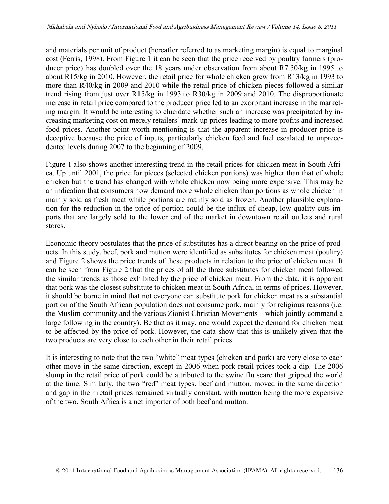and materials per unit of product (hereafter referred to as marketing margin) is equal to marginal cost (Ferris, 1998). From Figure 1 it can be seen that the price received by poultry farmers (producer price) has doubled over the 18 years under observation from about R7.50/kg in 1995 to about R15/kg in 2010. However, the retail price for whole chicken grew from R13/kg in 1993 to more than R40/kg in 2009 and 2010 while the retail price of chicken pieces followed a similar trend rising from just over R15/kg in 1993 to R30/kg in 2009 and 2010. The disproportionate increase in retail price compared to the producer price led to an exorbitant increase in the marketing margin. It would be interesting to elucidate whether such an increase was precipitated by increasing marketing cost on merely retailers' mark-up prices leading to more profits and increased food prices. Another point worth mentioning is that the apparent increase in producer price is deceptive because the price of inputs, particularly chicken feed and fuel escalated to unprecedented levels during 2007 to the beginning of 2009.

Figure 1 also shows another interesting trend in the retail prices for chicken meat in South Africa. Up until 2001, the price for pieces (selected chicken portions) was higher than that of whole chicken but the trend has changed with whole chicken now being more expensive. This may be an indication that consumers now demand more whole chicken than portions as whole chicken in mainly sold as fresh meat while portions are mainly sold as frozen. Another plausible explanation for the reduction in the price of portion could be the influx of cheap, low quality cuts imports that are largely sold to the lower end of the market in downtown retail outlets and rural stores.

Economic theory postulates that the price of substitutes has a direct bearing on the price of products. In this study, beef, pork and mutton were identified as substitutes for chicken meat (poultry) and Figure 2 shows the price trends of these products in relation to the price of chicken meat. It can be seen from Figure 2 that the prices of all the three substitutes for chicken meat followed the similar trends as those exhibited by the price of chicken meat. From the data, it is apparent that pork was the closest substitute to chicken meat in South Africa, in terms of prices. However, it should be borne in mind that not everyone can substitute pork for chicken meat as a substantial portion of the South African population does not consume pork, mainly for religious reasons (i.e. the Muslim community and the various Zionist Christian Movements – which jointly command a large following in the country). Be that as it may, one would expect the demand for chicken meat to be affected by the price of pork. However, the data show that this is unlikely given that the two products are very close to each other in their retail prices.

It is interesting to note that the two "white" meat types (chicken and pork) are very close to each other move in the same direction, except in 2006 when pork retail prices took a dip. The 2006 slump in the retail price of pork could be attributed to the swine flu scare that gripped the world at the time. Similarly, the two "red" meat types, beef and mutton, moved in the same direction and gap in their retail prices remained virtually constant, with mutton being the more expensive of the two. South Africa is a net importer of both beef and mutton.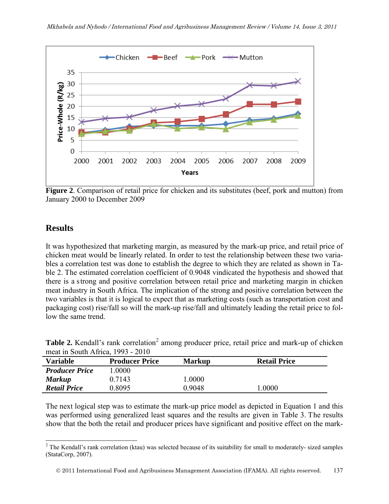

**Figure 2**. Comparison of retail price for chicken and its substitutes (beef, pork and mutton) from January 2000 to December 2009

### **Results**

It was hypothesized that marketing margin, as measured by the mark-up price, and retail price of chicken meat would be linearly related. In order to test the relationship between these two variables a correlation test was done to establish the degree to which they are related as shown in Table 2. The estimated correlation coefficient of 0.9048 vindicated the hypothesis and showed that there is a strong and positive correlation between retail price and marketing margin in chicken meat industry in South Africa. The implication of the strong and positive correlation between the two variables is that it is logical to expect that as marketing costs (such as transportation cost and packaging cost) rise/fall so will the mark-up rise/fall and ultimately leading the retail price to follow the same trend.

| $m$ eat in South Alfica, $1993 - 2010$ |                       |               |                     |
|----------------------------------------|-----------------------|---------------|---------------------|
| <b>Variable</b>                        | <b>Producer Price</b> | <b>Markup</b> | <b>Retail Price</b> |
| <b>Producer Price</b>                  | .0000                 |               |                     |
| <b>Markup</b>                          | 0.7143                | 0000.1        |                     |
| <b>Retail Price</b>                    | 0.8095                | 0 9048        | .0000               |

| Table 2. Kendall's rank correlation <sup>2</sup> among producer price, retail price and mark-up of chicken |  |  |
|------------------------------------------------------------------------------------------------------------|--|--|
| meat in South Africa, 1993 - 2010                                                                          |  |  |

<span id="page-10-0"></span>The next logical step was to estimate the mark-up price model as depicted in Equation 1 and this was performed using generalized least squares and the results are given in Table 3. The results show that the both the retail and producer prices have significant and positive effect on the mark-

 $\overline{a}$  $2^2$  The Kendall's rank correlation (ktau) was selected because of its suitability for small to moderately- sized samples (StataCorp, 2007).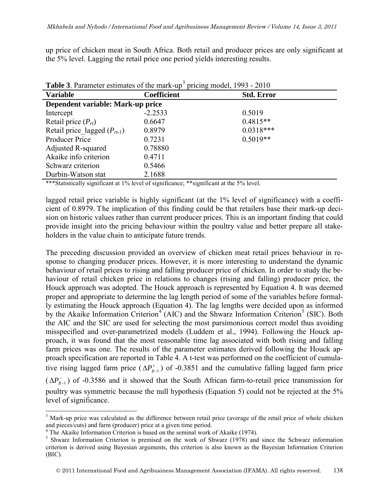up price of chicken meat in South Africa. Both retail and producer prices are only significant at the 5% level. Lagging the retail price one period yields interesting results.

| <b>Table 5.</b> Parameter estimates of the mark-up pricing model, 1993 - 2010 |                    |                   |  |  |
|-------------------------------------------------------------------------------|--------------------|-------------------|--|--|
| <b>Variable</b>                                                               | <b>Coefficient</b> | <b>Std. Error</b> |  |  |
| Dependent variable: Mark-up price                                             |                    |                   |  |  |
| Intercept                                                                     | $-2.2533$          | 0.5019            |  |  |
| Retail price $(P_{rt})$                                                       | 0.6647             | $0.4815**$        |  |  |
| Retail price lagged $(P_{rt-1})$                                              | 0.8979             | $0.0318***$       |  |  |
| <b>Producer Price</b>                                                         | 0.7231             | $0.5019**$        |  |  |
| Adjusted R-squared                                                            | 0.78880            |                   |  |  |
| Akaike info criterion                                                         | 0.4711             |                   |  |  |
| Schwarz criterion                                                             | 0.5466             |                   |  |  |
| Durbin-Watson stat                                                            | 2.1688             |                   |  |  |

**Table [3](#page-10-0)**. Parameter estimates of the mark-up<sup>3</sup> pricing model, 1993 - 2010

\*\*\*Statistically significant at 1% level of significance; \*\*significant at the 5% level.

lagged retail price variable is highly significant (at the 1% level of significance) with a coefficient of 0.8979. The implication of this finding could be that retailers base their mark-up decision on historic values rather than current producer prices. This is an important finding that could provide insight into the pricing behaviour within the poultry value and better prepare all stakeholders in the value chain to anticipate future trends.

The preceding discussion provided an overview of chicken meat retail prices behaviour in response to changing producer prices. However, it is more interesting to understand the dynamic behaviour of retail prices to rising and falling producer price of chicken. In order to study the behaviour of retail chicken price in relations to changes (rising and falling) producer price, the Houck approach was adopted. The Houck approach is represented by Equation 4. It was deemed proper and appropriate to determine the lag length period of some of the variables before formally estimating the Houck approach (Equation 4). The lag lengths were decided upon as informed by the Akaike Information Criterion<sup>[4](#page-11-0)</sup> (AIC) and the Shwarz Information Criterion<sup>[5](#page-11-1)</sup> (SIC). Both the AIC and the SIC are used for selecting the most parsimonious correct model thus avoiding misspecified and over-parametrized models (Luddem et al., 1994). Following the Houck approach, it was found that the most reasonable time lag associated with both rising and falling farm prices was one. The results of the parameter estimates derived following the Houck approach specification are reported in Table 4. A t-test was performed on the coefficient of cumulative rising lagged farm price ( $\Delta P_{n-1}^+$ ) of -0.3851 and the cumulative falling lagged farm price  $(\Delta P_{n-1}^-)$  of -0.3586 and it showed that the South African farm-to-retail price transmission for poultry was symmetric because the null hypothesis (Equation 5) could not be rejected at the 5% level of significance.

 $\overline{a}$ 

<sup>&</sup>lt;sup>3</sup> Mark-up price was calculated as the difference between retail price (average of the retail price of whole chicken and pieces/cuts) and farm (producer) price at a given time period.<br><sup>4</sup> The Akaike Information Criterion is based on the seminal work of Akaike (1974).

<span id="page-11-1"></span><span id="page-11-0"></span> $5$  Shwarz Information Criterion is premised on the work of Shwarz (1978) and since the Schwarz information criterion is derived using Bayesian arguments, this criterion is also known as the Bayesian Information Criterion (BIC).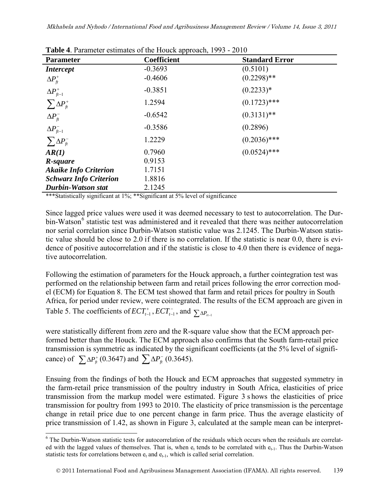| <b>Parameter</b>                                                   | <b>Table 4.</b> Parameter estimates of the Houck approach, 1993 - 2010<br><b>Coefficient</b><br><b>Standard Error</b> |                |  |  |  |
|--------------------------------------------------------------------|-----------------------------------------------------------------------------------------------------------------------|----------------|--|--|--|
| <i>Intercept</i>                                                   | $-0.3693$                                                                                                             | (0.5101)       |  |  |  |
|                                                                    |                                                                                                                       |                |  |  |  |
| $\Delta P_{\scriptscriptstyle{\text{ft}}}^{\scriptscriptstyle{+}}$ | $-0.4606$                                                                                                             | $(0.2298)$ **  |  |  |  |
| $\Delta P_{ft-1}^+$                                                | $-0.3851$                                                                                                             | $(0.2233)*$    |  |  |  |
|                                                                    |                                                                                                                       |                |  |  |  |
| $\sum \Delta P_{\text{ft}}^+$                                      | 1.2594                                                                                                                | $(0.1723)$ *** |  |  |  |
| $\Delta P_{\hat{t}}^-$                                             | $-0.6542$                                                                                                             | $(0.3131)$ **  |  |  |  |
|                                                                    |                                                                                                                       |                |  |  |  |
| $\Delta P_{ft-1}^-$                                                | $-0.3586$                                                                                                             | (0.2896)       |  |  |  |
| $\sum \Delta P_{\hat{t}}$                                          | 1.2229                                                                                                                | $(0.2036)$ *** |  |  |  |
|                                                                    |                                                                                                                       |                |  |  |  |
| AR(1)                                                              | 0.7960                                                                                                                | $(0.0524)$ *** |  |  |  |
| R-square                                                           | 0.9153                                                                                                                |                |  |  |  |
| <b>Akaike Info Criterion</b>                                       | 1.7151                                                                                                                |                |  |  |  |
| <b>Schwarz Info Criterion</b>                                      | 1.8816                                                                                                                |                |  |  |  |
| <b>Durbin-Watson stat</b>                                          | 2.1245                                                                                                                |                |  |  |  |

**Table 4**. Parameter estimates of the Houck approach, 1993 - 2010

\*\*\*Statistically significant at 1%; \*\*Significant at 5% level of significance

Since lagged price values were used it was deemed necessary to test to autocorrelation. The Dur-bin-Watson<sup>[6](#page-11-1)</sup> statistic test was administered and it revealed that there was neither autocorrelation nor serial correlation since Durbin-Watson statistic value was 2.1245. The Durbin-Watson statistic value should be close to 2.0 if there is no correlation. If the statistic is near 0.0, there is evidence of positive autocorrelation and if the statistic is close to 4.0 then there is evidence of negative autocorrelation.

Following the estimation of parameters for the Houck approach, a further cointegration test was performed on the relationship between farm and retail prices following the error correction model (ECM) for Equation 8. The ECM test showed that farm and retail prices for poultry in South Africa, for period under review, were cointegrated. The results of the ECM approach are given in Table 5. The coefficients of  $ECT_{t-1}^+$ ,  $ECT_{t-1}^-$ , and  $\sum_{n} P_{t-1}$ 

were statistically different from zero and the R-square value show that the ECM approach performed better than the Houck. The ECM approach also confirms that the South farm-retail price transmission is symmetric as indicated by the significant coefficients (at the 5% level of significance) of  $\sum \Delta P_{\hat{f}} (0.3647)$  and  $\sum \Delta P_{\hat{f}} (0.3645)$ .

Ensuing from the findings of both the Houck and ECM approaches that suggested symmetry in the farm-retail price transmission of the poultry industry in South Africa, elasticities of price transmission from the markup model were estimated. Figure 3 s hows the elasticities of price transmission for poultry from 1993 to 2010. The elasticity of price transmission is the percentage change in retail price due to one percent change in farm price. Thus the average elasticity of price transmission of 1.42, as shown in Figure 3, calculated at the sample mean can be interpret-

 $\overline{a}$ <sup>6</sup> The Durbin-Watson statistic tests for autocorrelation of the residuals which occurs when the residuals are correlated with the lagged values of themselves. That is, when  $e_t$  tends to be correlated with  $e_{t-1}$ . Thus the Durbin-Watson statistic tests for correlations between  $e_t$  and  $e_{t-1}$ , which is called serial correlation.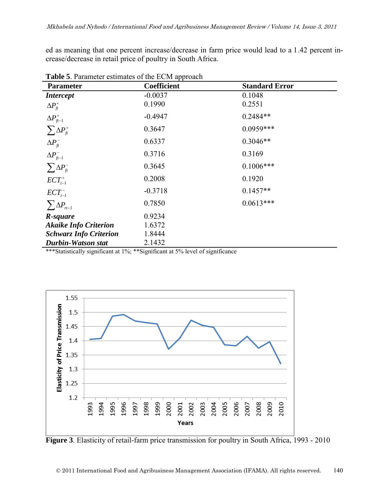ed as meaning that one percent increase/decrease in farm price would lead to a 1.42 percent increase/decrease in retail price of poultry in South Africa.

| <b>rapic <math>\sigma</math>.</b> Farameter estimates of the ECTVI approach |                    |                       |  |  |
|-----------------------------------------------------------------------------|--------------------|-----------------------|--|--|
| <b>Parameter</b>                                                            | <b>Coefficient</b> | <b>Standard Error</b> |  |  |
| <i>Intercept</i>                                                            | $-0.0037$          | 0.1048                |  |  |
| $\Delta P_{\scriptscriptstyle{f\!t}}^{\scriptscriptstyle{+}}$               | 0.1990             | 0.2551                |  |  |
| $\Delta P_{\textit{ft}-1}^+$                                                | $-0.4947$          | $0.2484**$            |  |  |
| $\sum \Delta P_{ft}^+$                                                      | 0.3647             | $0.0959***$           |  |  |
| $\Delta P_{\hat{\pi}}^-$                                                    | 0.6337             | $0.3046**$            |  |  |
| $\Delta P_{ft-1}^-$                                                         | 0.3716             | 0.3169                |  |  |
| $\sum \Delta P_{\text{ft}}^-$                                               | 0.3645             | $0.1006***$           |  |  |
| $ECT^+_{t-1}$                                                               | 0.2008             | 0.1920                |  |  |
| $ECT^-_{t-1}$                                                               | $-0.3718$          | $0.1457**$            |  |  |
| $\sum \Delta P_{rt-1}$                                                      | 0.7850             | $0.0613***$           |  |  |
| R-square                                                                    | 0.9234             |                       |  |  |
| <b>Akaike Info Criterion</b>                                                | 1.6372             |                       |  |  |
| <b>Schwarz Info Criterion</b>                                               | 1.8444             |                       |  |  |
| <b>Durbin-Watson stat</b>                                                   | 2.1432             |                       |  |  |

**Table 5**. Parameter estimates of the ECM approach

\*\*\*Statistically significant at 1%; \*\*Significant at 5% level of significance



**Figure 3**. Elasticity of retail-farm price transmission for poultry in South Africa, 1993 - 2010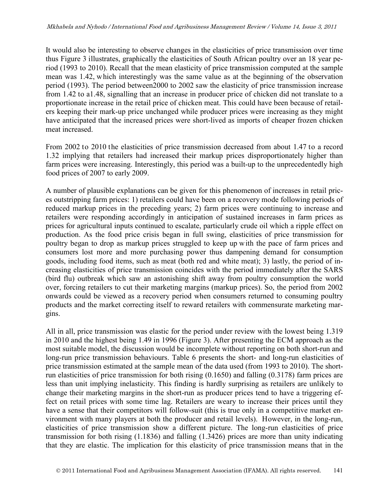It would also be interesting to observe changes in the elasticities of price transmission over time thus Figure 3 illustrates, graphically the elasticities of South African poultry over an 18 year period (1993 to 2010). Recall that the mean elasticity of price transmission computed at the sample mean was 1.42, which interestingly was the same value as at the beginning of the observation period (1993). The period between2000 to 2002 saw the elasticity of price transmission increase from 1.42 to a1.48, signalling that an increase in producer price of chicken did not translate to a proportionate increase in the retail price of chicken meat. This could have been because of retailers keeping their mark-up price unchanged while producer prices were increasing as they might have anticipated that the increased prices were short-lived as imports of cheaper frozen chicken meat increased.

From 2002 to 2010 the elasticities of price transmission decreased from about 1.47 to a record 1.32 implying that retailers had increased their markup prices disproportionately higher than farm prices were increasing. Interestingly, this period was a built-up to the unprecedentedly high food prices of 2007 to early 2009.

A number of plausible explanations can be given for this phenomenon of increases in retail prices outstripping farm prices: 1) retailers could have been on a recovery mode following periods of reduced markup prices in the preceding years; 2) farm prices were continuing to increase and retailers were responding accordingly in anticipation of sustained increases in farm prices as prices for agricultural inputs continued to escalate, particularly crude oil which a ripple effect on production. As the food price crisis began in full swing, elasticities of price transmission for poultry began to drop as markup prices struggled to keep up with the pace of farm prices and consumers lost more and more purchasing power thus dampening demand for consumption goods, including food items, such as meat (both red and white meat); 3) lastly, the period of increasing elasticities of price transmission coincides with the period immediately after the SARS (bird flu) outbreak which saw an astonishing shift away from poultry consumption the world over, forcing retailers to cut their marketing margins (markup prices). So, the period from 2002 onwards could be viewed as a recovery period when consumers returned to consuming poultry products and the market correcting itself to reward retailers with commensurate marketing margins.

All in all, price transmission was elastic for the period under review with the lowest being 1.319 in 2010 and the highest being 1.49 in 1996 (Figure 3). After presenting the ECM approach as the most suitable model, the discussion would be incomplete without reporting on both short-run and long-run price transmission behaviours. Table 6 presents the short- and long-run elasticities of price transmission estimated at the sample mean of the data used (from 1993 to 2010). The shortrun elasticities of price transmission for both rising (0.1650) and falling (0.3178) farm prices are less than unit implying inelasticity. This finding is hardly surprising as retailers are unlikely to change their marketing margins in the short-run as producer prices tend to have a triggering effect on retail prices with some time lag. Retailers are weary to increase their prices until they have a sense that their competitors will follow-suit (this is true only in a competitive market environment with many players at both the producer and retail levels). However, in the long-run, elasticities of price transmission show a different picture. The long-run elasticities of price transmission for both rising (1.1836) and falling (1.3426) prices are more than unity indicating that they are elastic. The implication for this elasticity of price transmission means that in the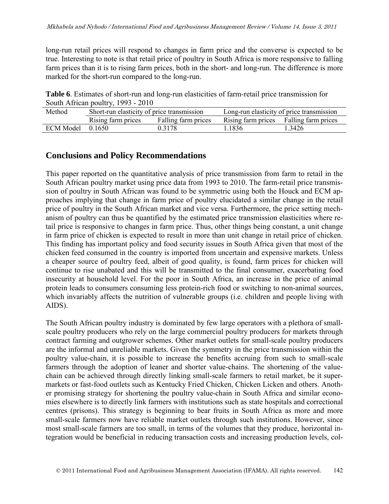long-run retail prices will respond to changes in farm price and the converse is expected to be true. Interesting to note is that retail price of poultry in South Africa is more responsive to falling farm prices than it is to rising farm prices, both in the short- and long-run. The difference is more marked for the short-run compared to the long-run.

**Table 6**. Estimates of short-run and long-run elasticities of farm-retail price transmission for South African poultry, 1993 - 2010

| Method               | Short-run elasticity of price transmission |                     | Long-run elasticity of price transmission |        |
|----------------------|--------------------------------------------|---------------------|-------------------------------------------|--------|
|                      | Rising farm prices                         | Falling farm prices | Rising farm prices Falling farm prices    |        |
| $ECM$ Model $0.1650$ |                                            | 0.3178              | 1.1836                                    | 1.3426 |

### **Conclusions and Policy Recommendations**

This paper reported on the quantitative analysis of price transmission from farm to retail in the South African poultry market using price data from 1993 to 2010. The farm-retail price transmission of poultry in South African was found to be symmetric using both the Houck and ECM approaches implying that change in farm price of poultry elucidated a similar change in the retail price of poultry in the South African market and vice versa. Furthermore, the price setting mechanism of poultry can thus be quantified by the estimated price transmission elasticities where retail price is responsive to changes in farm price. Thus, other things being constant, a unit change in farm price of chicken is expected to result in more than unit change in retail price of chicken. This finding has important policy and food security issues in South Africa given that most of the chicken feed consumed in the country is imported from uncertain and expensive markets. Unless a cheaper source of poultry feed, albeit of good quality, is found, farm prices for chicken will continue to rise unabated and this will be transmitted to the final consumer, exacerbating food insecurity at household level. For the poor in South Africa, an increase in the price of animal protein leads to consumers consuming less protein-rich food or switching to non-animal sources, which invariably affects the nutrition of vulnerable groups (i.e. children and people living with AIDS).

The South African poultry industry is dominated by few large operators with a plethora of smallscale poultry producers who rely on the large commercial poultry producers for markets through contract farming and outgrower schemes. Other market outlets for small-scale poultry producers are the informal and unreliable markets. Given the symmetry in the price transmission within the poultry value-chain, it is possible to increase the benefits accruing from such to small-scale farmers through the adoption of leaner and shorter value-chains. The shortening of the valuechain can be achieved through directly linking small-scale farmers to retail market, be it supermarkets or fast-food outlets such as Kentucky Fried Chicken, Chicken Licken and others. Another promising strategy for shortening the poultry value-chain in South Africa and similar economies elsewhere is to directly link farmers with institutions such as state hospitals and correctional centres (prisons). This strategy is beginning to bear fruits in South Africa as more and more small-scale farmers now have reliable market outlets through such institutions. However, since most small-scale farmers are too small, in terms of the volumes that they produce, horizontal integration would be beneficial in reducing transaction costs and increasing production levels, col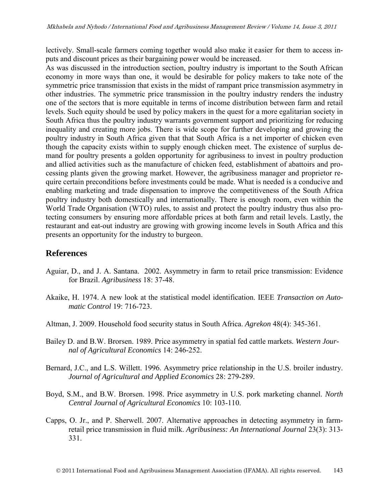lectively. Small-scale farmers coming together would also make it easier for them to access inputs and discount prices as their bargaining power would be increased.

As was discussed in the introduction section, poultry industry is important to the South African economy in more ways than one, it would be desirable for policy makers to take note of the symmetric price transmission that exists in the midst of rampant price transmission asymmetry in other industries. The symmetric price transmission in the poultry industry renders the industry one of the sectors that is more equitable in terms of income distribution between farm and retail levels. Such equity should be used by policy makers in the quest for a more egalitarian society in South Africa thus the poultry industry warrants government support and prioritizing for reducing inequality and creating more jobs. There is wide scope for further developing and growing the poultry industry in South Africa given that that South Africa is a net importer of chicken even though the capacity exists within to supply enough chicken meet. The existence of surplus demand for poultry presents a golden opportunity for agribusiness to invest in poultry production and allied activities such as the manufacture of chicken feed, establishment of abattoirs and processing plants given the growing market. However, the agribusiness manager and proprietor require certain preconditions before investments could be made. What is needed is a conducive and enabling marketing and trade dispensation to improve the competitiveness of the South Africa poultry industry both domestically and internationally. There is enough room, even within the World Trade Organisation (WTO) rules, to assist and protect the poultry industry thus also protecting consumers by ensuring more affordable prices at both farm and retail levels. Lastly, the restaurant and eat-out industry are growing with growing income levels in South Africa and this presents an opportunity for the industry to burgeon.

#### **References**

- Aguiar, D., and J. A. Santana. 2002. Asymmetry in farm to retail price transmission: Evidence for Brazil. *Agribusiness* 18: 37-48.
- Akaike, H. 1974. A new look at the statistical model identification. IEEE *Transaction on Automatic Control* 19: 716-723.
- Altman, J. 2009. Household food security status in South Africa. *Agrekon* 48(4): 345-361.
- Bailey D. and B.W. Brorsen. 1989. Price asymmetry in spatial fed cattle markets. *Western Journal of Agricultural Economics* 14: 246-252.
- Bernard, J.C., and L.S. Willett. 1996. Asymmetry price relationship in the U.S. broiler industry. *Journal of Agricultural and Applied Economics* 28: 279-289.
- Boyd, S.M., and B.W. Brorsen. 1998. Price asymmetry in U.S. pork marketing channel. *North Central Journal of Agricultural Economics* 10: 103-110.
- Capps, O. Jr., and P. Sherwell. 2007. Alternative approaches in detecting asymmetry in farmretail price transmission in fluid milk. *Agribusiness: An International Journal* 23(3): 313- 331.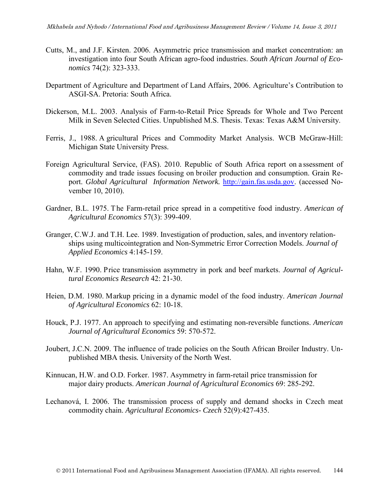- Cutts, M., and J.F. Kirsten. 2006. Asymmetric price transmission and market concentration: an investigation into four South African agro-food industries. *South African Journal of Economics* 74(2): 323-333.
- Department of Agriculture and Department of Land Affairs, 2006. Agriculture's Contribution to ASGI-SA. Pretoria: South Africa.
- Dickerson, M.L. 2003. Analysis of Farm-to-Retail Price Spreads for Whole and Two Percent Milk in Seven Selected Cities. Unpublished M.S. Thesis. Texas: Texas A&M University.
- Ferris, J., 1988. A gricultural Prices and Commodity Market Analysis. WCB McGraw-Hill: Michigan State University Press.
- Foreign Agricultural Service, (FAS). 2010. Republic of South Africa report on a ssessment of commodity and trade issues focusing on broiler production and consumption. Grain Report. *Global Agricultural Information Network.* [http://gain.fas.usda.gov.](http://gain.fas.usda.gov/) (accessed November 10, 2010).
- Gardner, B.L. 1975. The Farm-retail price spread in a competitive food industry. *American of Agricultural Economics* 57(3): 399-409.
- Granger, C.W.J. and T.H. Lee. 1989. Investigation of production, sales, and inventory relationships using multicointegration and Non-Symmetric Error Correction Models. *Journal of Applied Economics* 4:145-159.
- Hahn, W.F. 1990. Price transmission asymmetry in pork and beef markets. *Journal of Agricultural Economics Research* 42: 21-30.
- Heien, D.M. 1980. Markup pricing in a dynamic model of the food industry. *American Journal of Agricultural Economics* 62: 10-18.
- Houck, P.J. 1977. An approach to specifying and estimating non-reversible functions. *American Journal of Agricultural Economics* 59: 570-572.
- Joubert, J.C.N. 2009. The influence of trade policies on the South African Broiler Industry. Unpublished MBA thesis*.* University of the North West.
- Kinnucan, H.W. and O.D. Forker. 1987. Asymmetry in farm-retail price transmission for major dairy products. *American Journal of Agricultural Economics* 69: 285-292.
- Lechanová, I. 2006. The transmission process of supply and demand shocks in Czech meat commodity chain. *Agricultural Economics- Czech* 52(9):427-435.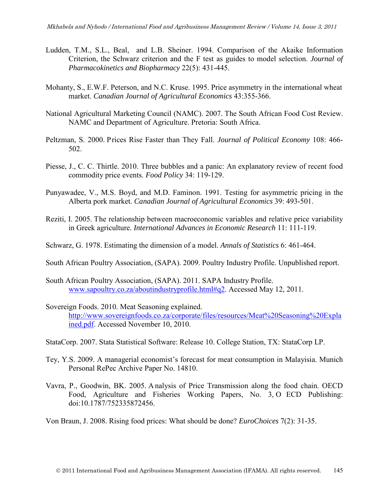- Ludden, T.M., S.L., Beal, and L.B. Sheiner. 1994. Comparison of the Akaike Information Criterion, the Schwarz criterion and the F test as guides to model selection. *Journal of Pharmacokinetics and Biopharmacy* 22(5): 431-445.
- Mohanty, S., E.W.F. Peterson, and N.C. Kruse. 1995. Price asymmetry in the international wheat market. *Canadian Journal of Agricultural Economics* 43:355-366.
- National Agricultural Marketing Council (NAMC). 2007. The South African Food Cost Review. NAMC and Department of Agriculture. Pretoria: South Africa.
- Peltzman, S. 2000. Prices Rise Faster than They Fall. *Journal of Political Economy* 108: 466- 502.
- Piesse, J., C. C. Thirtle. 2010. Three bubbles and a panic: An explanatory review of recent food commodity price events. *Food Policy* 34: 119-129.
- Punyawadee, V., M.S. Boyd, and M.D. Faminon. 1991. Testing for asymmetric pricing in the Alberta pork market. *Canadian Journal of Agricultural Economics* 39: 493-501.
- Reziti, I. 2005. The relationship between macroeconomic variables and relative price variability in Greek agriculture. *International Advances in Economic Research* 11: 111-119.
- Schwarz, G. 1978. Estimating the dimension of a model. *Annals of Statistics* 6: 461-464.
- South African Poultry Association, (SAPA). 2009. Poultry Industry Profile*.* Unpublished report.
- South African Poultry Association, (SAPA). 2011. SAPA Industry Profile. [www.sapoultry.co.za/aboutindustryprofile.html#q2.](http://www.sapoultry.co.za/aboutindustryprofile.html#q2) Accessed May 12, 2011.
- Sovereign Foods. 2010. Meat Seasoning explained. [http://www.sovereignfoods.co.za/corporate/files/resources/Meat%20Seasoning%20Expla](http://www.sovereignfoods.co.za/corporate/files/resources/Meat%20Seasoning%20Explained.pdf) [ined.pdf.](http://www.sovereignfoods.co.za/corporate/files/resources/Meat%20Seasoning%20Explained.pdf) Accessed November 10, 2010.
- StataCorp. 2007. Stata Statistical Software: Release 10. College Station, TX: StataCorp LP.
- Tey, Y.S. 2009. A managerial economist's forecast for meat consumption in Malayisia. Munich Personal RePec Archive Paper No. 14810.
- Vavra, P., Goodwin, BK. 2005. A nalysis of Price Transmission along the food chain. OECD Food, Agriculture and Fisheries Working Papers, No. 3, O ECD Publishing: doi:10.1787/752335872456.

Von Braun, J. 2008. Rising food prices: What should be done? *EuroChoices* 7(2): 31-35.